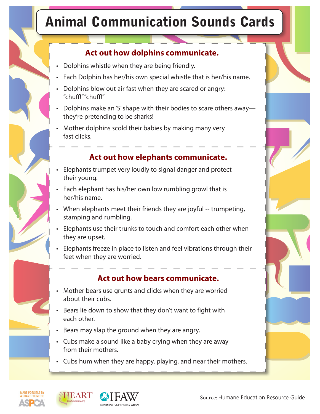# **Animal Communication Sounds Cards**

#### Act out how dolphins communicate.

- Dolphins whistle when they are being friendly.
- Each Dolphin has her/his own special whistle that is her/his name.
- Dolphins blow out air fast when they are scared or angry: "chuff!""chuff!"
- Dolphins make an 'S' shape with their bodies to scare others away they're pretending to be sharks!
- Mother dolphins scold their babies by making many very fast clicks.

#### Act out how elephants communicate.

- Elephants trumpet very loudly to signal danger and protect their young.
- Each elephant has his/her own low rumbling growl that is her/his name.
- When elephants meet their friends they are joyful -- trumpeting, stamping and rumbling.
- Elephants use their trunks to touch and comfort each other when they are upset.
- Elephants freeze in place to listen and feel vibrations through their feet when they are worried.

#### Act out how bears communicate.

- Mother bears use grunts and clicks when they are worried about their cubs.
- Bears lie down to show that they don't want to fight with each other.
- Bears may slap the ground when they are angry.
- Cubs make a sound like a baby crying when they are away from their mothers.
- Cubs hum when they are happy, playing, and near their mothers.





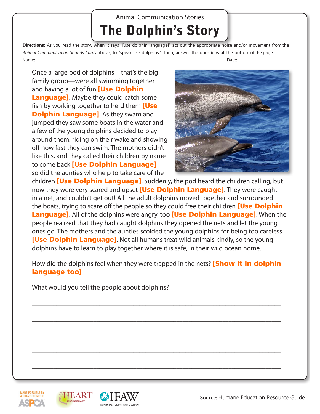# **Animal Communication Stories The Dolphin's Story**

Directions: As you read the story, when it says "[use dolphin language]" act out the appropriate noise and/or movement from the Animal Communication Sounds Cards above, to "speak like dolphins." Then, answer the questions at the bottom of the page. Name: Date:

Once a large pod of dolphins—that's the big family group-were all swimming together and having a lot of fun **[Use Dolphin Language**. Maybe they could catch some fish by working together to herd them [Use **Dolphin Language].** As they swam and jumped they saw some boats in the water and a few of the young dolphins decided to play around them, riding on their wake and showing off how fast they can swim. The mothers didn't like this, and they called their children by name to come back [Use Dolphin Language]so did the aunties who help to take care of the



children **[Use Dolphin Language]**. Suddenly, the pod heard the children calling, but now they were very scared and upset [Use Dolphin Language]. They were caught in a net, and couldn't get out! All the adult dolphins moved together and surrounded the boats, trying to scare off the people so they could free their children [Use Dolphin **Language].** All of the dolphins were angry, too **[Use Dolphin Language]**. When the people realized that they had caught dolphins they opened the nets and let the young ones go. The mothers and the aunties scolded the young dolphins for being too careless **[Use Dolphin Language]**. Not all humans treat wild animals kindly, so the young dolphins have to learn to play together where it is safe, in their wild ocean home.

How did the dolphins feel when they were trapped in the nets? [Show it in dolphin language too]

What would you tell the people about dolphins?







Source: Humane Education Resource Guide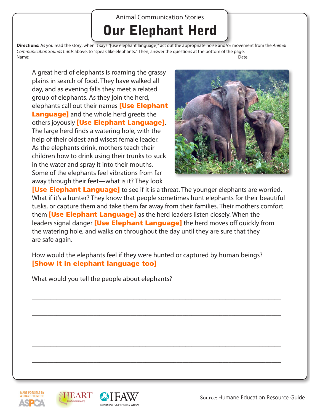## **Animal Communication Stories Our Elephant Herd**

Directions: As you read the story, when it says "[use elephant language]" act out the appropriate noise and/or movement from the Animal Communication Sounds Cards above, to "speak like elephants." Then, answer the questions at the bottom of the page. Name: \_ Date:

A great herd of elephants is roaming the grassy plains in search of food. They have walked all day, and as evening falls they meet a related group of elephants. As they join the herd, elephants call out their names [Use Elephant **Language]** and the whole herd greets the others joyously [Use Elephant Language]. The large herd finds a watering hole, with the help of their oldest and wisest female leader. As the elephants drink, mothers teach their children how to drink using their trunks to suck in the water and spray it into their mouths. Some of the elephants feel vibrations from far away through their feet-what is it? They look



**[Use Elephant Language]** to see if it is a threat. The younger elephants are worried. What if it's a hunter? They know that people sometimes hunt elephants for their beautiful tusks, or capture them and take them far away from their families. Their mothers comfort them **[Use Elephant Language]** as the herd leaders listen closely. When the leaders signal danger **[Use Elephant Language]** the herd moves off quickly from the watering hole, and walks on throughout the day until they are sure that they are safe again.

How would the elephants feel if they were hunted or captured by human beings? [Show it in elephant language too]

What would you tell the people about elephants?







Source: Humane Education Resource Guide